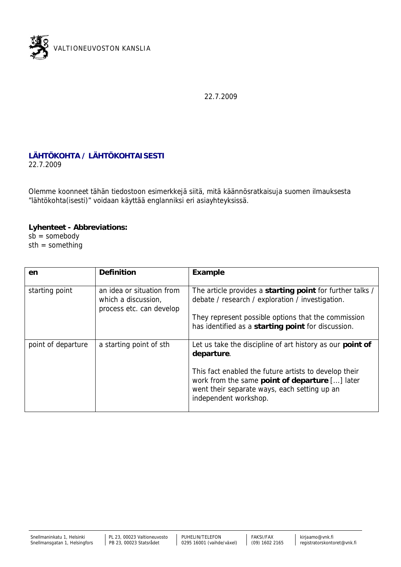

22.7.2009

## **LÄHTÖKOHTA / LÄHTÖKOHTAISESTI** 22.7.2009

Olemme koonneet tähän tiedostoon esimerkkejä siitä, mitä käännösratkaisuja suomen ilmauksesta "lähtökohta(isesti)" voidaan käyttää englanniksi eri asiayhteyksissä.

**Lyhenteet - Abbreviations:**  $s\bar{b}$  = somebody sth = something

| en                 | Definition                                                                   | Example                                                                                                                                                                          |
|--------------------|------------------------------------------------------------------------------|----------------------------------------------------------------------------------------------------------------------------------------------------------------------------------|
| starting point     | an idea or situation from<br>which a discussion,<br>process etc. can develop | The article provides a starting point for further talks /<br>debate / research / exploration / investigation.                                                                    |
|                    |                                                                              | They represent possible options that the commission<br>has identified as a starting point for discussion.                                                                        |
| point of departure | a starting point of sth                                                      | Let us take the discipline of art history as our point of<br>departure.                                                                                                          |
|                    |                                                                              | This fact enabled the future artists to develop their<br>work from the same point of departure [] later<br>went their separate ways, each setting up an<br>independent workshop. |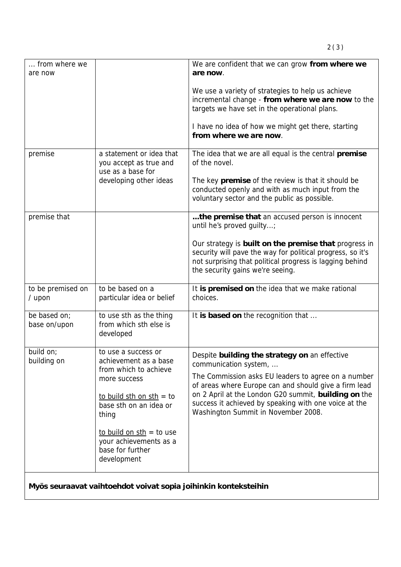| from where we<br>are now                                        |                                                                                                                                                                                                                                                 | We are confident that we can grow from where we<br>are now.                                                                                                                                                                                                                                                                                    |  |  |
|-----------------------------------------------------------------|-------------------------------------------------------------------------------------------------------------------------------------------------------------------------------------------------------------------------------------------------|------------------------------------------------------------------------------------------------------------------------------------------------------------------------------------------------------------------------------------------------------------------------------------------------------------------------------------------------|--|--|
|                                                                 |                                                                                                                                                                                                                                                 | We use a variety of strategies to help us achieve<br>incremental change - from where we are now to the<br>targets we have set in the operational plans.<br>I have no idea of how we might get there, starting<br>from where we are now.                                                                                                        |  |  |
| premise                                                         | a statement or idea that<br>you accept as true and<br>use as a base for<br>developing other ideas                                                                                                                                               | The idea that we are all equal is the central premise<br>of the novel.<br>The key premise of the review is that it should be<br>conducted openly and with as much input from the<br>voluntary sector and the public as possible.                                                                                                               |  |  |
| premise that                                                    |                                                                                                                                                                                                                                                 | the premise that an accused person is innocent<br>until he's proved quilty;<br>Our strategy is built on the premise that progress in<br>security will pave the way for political progress, so it's<br>not surprising that political progress is lagging behind<br>the security gains we're seeing.                                             |  |  |
| to be premised on<br>$/$ upon                                   | to be based on a<br>particular idea or belief                                                                                                                                                                                                   | It is premised on the idea that we make rational<br>choices.                                                                                                                                                                                                                                                                                   |  |  |
| be based on;<br>base on/upon                                    | to use sth as the thing<br>from which sth else is<br>developed                                                                                                                                                                                  | It is based on the recognition that                                                                                                                                                                                                                                                                                                            |  |  |
| build on;<br>building on                                        | to use a success or<br>achievement as a base<br>from which to achieve<br>more success<br>to build sth on sth = to<br>base sth on an idea or<br>thing<br>to build on $sth = to$ use<br>your achievements as a<br>base for further<br>development | Despite building the strategy on an effective<br>communication system,<br>The Commission asks EU leaders to agree on a number<br>of areas where Europe can and should give a firm lead<br>on 2 April at the London G20 summit, building on the<br>success it achieved by speaking with one voice at the<br>Washington Summit in November 2008. |  |  |
| Myös seuraavat vaihtoehdot voivat sopia joihinkin konteksteihin |                                                                                                                                                                                                                                                 |                                                                                                                                                                                                                                                                                                                                                |  |  |